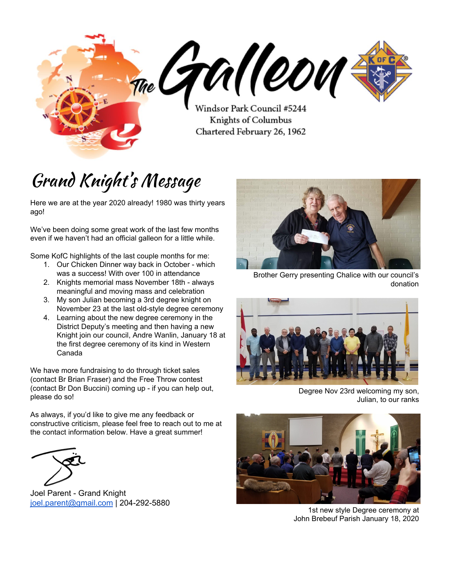The GM COM Chartered February 26, 1962

# Grand Knight' s Message

Here we are at the year 2020 already! 1980 was thirty years ago!

We've been doing some great work of the last few months even if we haven't had an official galleon for a little while.

Some KofC highlights of the last couple months for me:

- 1. Our Chicken Dinner way back in October which was a success! With over 100 in attendance
- 2. Knights memorial mass November 18th always meaningful and moving mass and celebration
- 3. My son Julian becoming a 3rd degree knight on November 23 at the last old-style degree ceremony
- 4. Learning about the new degree ceremony in the District Deputy's meeting and then having a new Knight join our council, Andre Wanlin, January 18 at the first degree ceremony of its kind in Western Canada

We have more fundraising to do through ticket sales (contact Br Brian Fraser) and the Free Throw contest (contact Br Don Buccini) coming up - if you can help out, please do so!

As always, if you'd like to give me any feedback or constructive criticism, please feel free to reach out to me at the contact information below. Have a great summer!

Joel Parent - Grand Knight [joel.parent@gmail.com](mailto:joel.parent@gmail.com) | 204-292-5880



Brother Gerry presenting Chalice with our council's donation



Degree Nov 23rd welcoming my son, Julian, to our ranks



1st new style Degree ceremony at John Brebeuf Parish January 18, 2020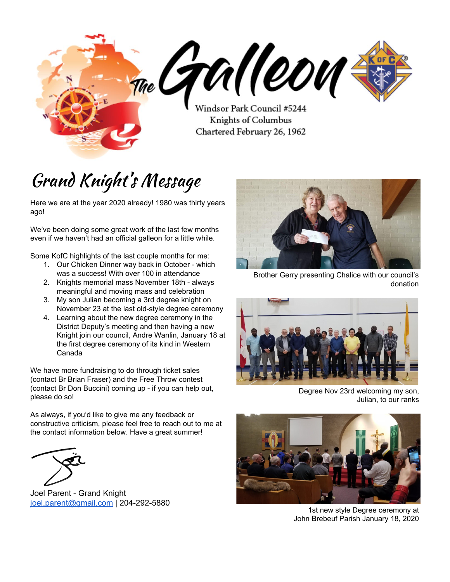### Minutes from last meeting

#### **A YYHb[ '8 UHY. '8 YWYa VYf '% Z&\$% '**

### 1. **7 U `` hc `CfXYf** O  $\vec{A}$  *K*H ] {

j

- a. Reading and Approval of Minutes of Previous Meeting
	- i. Motion: Br. Don Bodnarchuk, 2nd Br Don Buccini, Carried.

#### $2.$ ;  $fU_DX?DT\ HDQ$   $FYdcfh$

- a. We're committed to achieving Star Council status, with help from Br. Scott and others as needed.
- b. Other news: Degrees that we've traditionally known have changed completely. Among the changes is the removal of the "secrecy" component. New members are encouraged to invite their families to the degree ceremony. Potential date for "grand opening degree" in January. More info to come.
- c. Membership drive scheduled for Feb 8-9, 2020. Fr. Phil is on board, and hopefully we can have some help from State too.
- d. December 24, 5pm: Could the Knights help with traffic control for this mass? (Children's mass)
- e. We still need to find a way to close the gap in our budget. We're not going to reduce our spending, which means we need to work to make up the balance.
- f. Kinsmen Tickets are available! \$10 each! Great Prizes, and we get \$4 from each ticket sold. Please see Br. Brian Fraser for tickets or books.
- g. Thanks for everything!

#### 3. **HfYUgifYfEg FYdcfh**

- a. General Account: \$5,078.75
- b. Charity Account: \$10,283.74
- c. Vocations Account: \$74.08
- d. ICCD/Kinsmen ticket sales will be happening at WalMart (Southdale), and we need volunteers to help sell them. Please contact Brian Fraser to volunteer.
- e. ICCD ticket EARLY BIRD deadline is January 15. Tickets can still be sold and returned after that, but they just won't qualify for the early bird draw.
	- i. Motion to Approve: Br. Brian Frazer, 2nd Br. Wayne Bencharski, Carried

#### 4. FYUX]b[ 'Vm; fUbX'?b][\hcZFYWY]dhg'cZHfYUgi fYf'hc': ]bUbVJU GYWYHUfmUbX'HfYUgi fYf**D**g' **Jci W Yf cZ8 Ydcglh**

- a. Marcel: Notice of motion for Bibles. Motion by Br. Andre, 2nd Br. Don Buccini, Carried.
- b. \$203.84 Peanut Butter purchased for Siloam Mission.

#### 5. **FYUXIbl** cZ6 i'g UbX7 ca a i blWUHcbg

- a. Received a letter from L'Arche Winnipeg, thanking us for our support. We typically donate \$250. Moved by Br. Don B. That we continue to support l'Arche in the coming year. 2.d Br. Scott W. Carried.
- b. Received a date plaque from State regarding our donations to Vocations. We don't have a larger plaque to put them on though… we'll look into that.
- c. Winnipeg Harvest also sent us a letter thanking us for our support.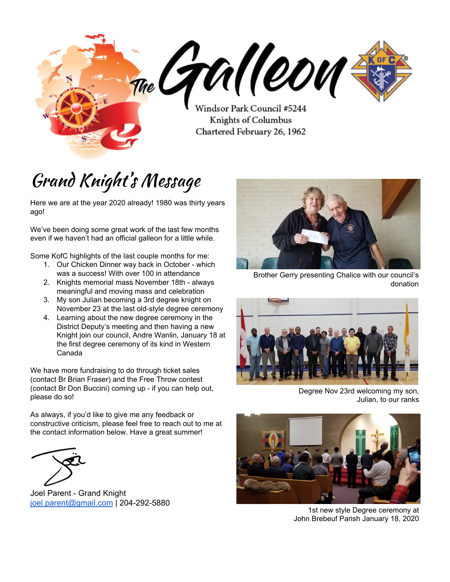d. Received a plaque from Habitat for Humanity with our group photo on it!

### 6. **FYdcfhcZGYfj WYDfc[fUa 7 ca a lHYYg**

- a. Membership Director
	- i. Br. Don Buccini reported that he had set goals of 10 new members. We have 4 to date. Our membership drive is in February, and Br Don would be happy to train ANYONE who's interested in helping out on the membership drive day.
	- ii. January 18 is the confirmed date for the new First Degree format.
	- **ZE ŐSÁ^``^•c^åÁ@zÁYÈÖJ}ÁFJ\ÁJqÁ@Á^ Á^{à^¦•@JÁ^][¦oÁJÁ^^ÁÁ@^Áz^Á** à^g<sup>\*</sup>Á^][¦c^åÁQ{¦¦^&d^õ Á<del>Q</del>}åÁ @eÁ^Á&a}Ái[ÁqfÁ}•~'¦^Á@eÁ@Á'~{à^¦•Áad^Ánq}\*Á *|^&[|å^åÁ|[]^||^∯Á*@Á~c\**|^*Ř
	- iv. KCIC billboard is up! We're only going to put one up this year.
- b. Program Director
	- i. Colouring Contest materials are on the way, motion to approve \$225 in supplies: Motion to approve the expense by Br. Scott W., 2nd Br Andre G., Carried.
	- ii. 2 baptisms coming up please speak with Br. Cliff if you can make the presentations of the rosary

#### 7. **8 ]glf]Wh8 Ydi hnog FYdcfh**

- a. Br. Marc Desjardins presented. The following are some of the areas we should work on:
	- i. Form 365 not completed.
	- ii. Safe Environment (not enough of us have that certification? Need at least 4 members). Certification is only good for 2 years. **#ik Ug'bchYX'h UnUh'YUgh) cZi g' \UjY[cbYh fci[\`h YWfh]ZJWU]cb`UbX`h UnkY\UjYgiVa]HYX`cif`dUdYfk cf\_`** a i `Hd`Y`Ha Yg": i fh Yf XlgW gglcb k lh `GHJhY'k |``'VY'\ UddYblbl "
	- iii. Documentation: for EVERY event we do, someone should document it. A collection of these documents proves what we've done in a given year.
		- 1. How many knights were involved?
		- 2. How many people attended?
		- 3. What was the event about?
		- 4. What was the community benefit?
		- 5. How did we do it?
		- 6. Would we do it again?
	- iv. Retention: Why are people not paying dues? Be mindful of each member's situation, plan and/or respond accordingly.
	- v. Installation ceremony was not well-attended. This is important! Also, training sessions are important! The more people that attend the training sessions, the better. We are encouraged to make more of an effort to attend these.
	- vi. If we cannot attend the degree, Marc would be happy to bring the degree to us, to our parish. We can invite family to attend, and take the degree over again.
	- vii. Parish Priest, Father Phil is still a member of St. Timothy's. He should be transferred here.

#### 8. **: ccXcZh YCfXYf**

- a. Br. George Rowan is not in good health, please keep him in your prayers.
- 9. **7 cglb[ Df Unif**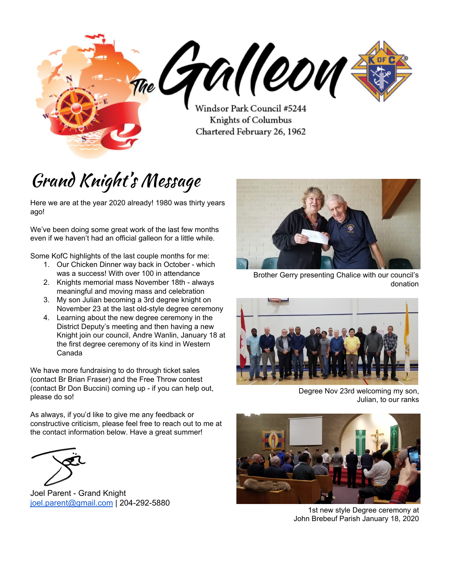| <b>POSITION</b>            | <b>NAME</b>             | <b>PRESENT</b> |
|----------------------------|-------------------------|----------------|
| <b>Grand Knight</b>        | Joël Parent             | Υ              |
| Deputy Grand Knight        | Scott Wilkinson         | Υ              |
| Past Grand Knight          |                         |                |
| Spiritual Advisor          | Deacon Doug Cross       | N              |
| Chancellor                 | Andre Guay              | Υ              |
| <b>Financial Secretary</b> | <b>Marcel Rainville</b> | Υ              |
| Treasurer                  | <b>Brian Fraser</b>     | Υ              |
| Recorder                   | <b>Brian Steeves</b>    | Υ              |
| Advocate                   | Roger Dacquay           | Υ              |
| Warden                     | Wayne Bencharski        | Υ              |
| Lecturer                   | Klem Gelowitz           | Υ              |
| Inside Guard               | Harvey Suski            | Υ              |
| <b>Outside Guard</b>       | Gerald Sliva            | Υ              |
| Trustee 3 yr               | Cliff Chojko-Bolec      | N              |
| Trustee 2 yr               | Don Buccini             | Υ              |
| Trustee 1 yr               | Bob Love                | N              |

## Upcoming Events

**BYI h; YbYfU A YYHb[ '!'>Ub &\$z&\$&\$'in St** Bernadette basement at 7:30 PM

?b][\hg`cZ7c`i a Vig': fYY'H\fck<sup>-</sup> 7 ca dYH<sub>IC</sub>b<sup>-</sup> various dates - Jan 27 and Feb 6 (alternate date 11)

A Ya VYfg\ ]d'8f]j Y: YVfi Ufm, !- weekend - we will need as many Knights wearing their KofC golf shirts as possible attending all masses that weekend to recruit new members

**5bch Yf ?b][ \ lg 8 Y[ fYY'7 YfYa cb]U** February 29th - time/location TBD - check out <https://www.manitobastatecouncil.ca/> for details

Check out our website for more event details: **K** Hdg.#) & ( 'WU#Yj Ybhg!WU YbXUf#



Andre Wanlin at the Knights Ceremonial January 18, 2020



4th degree Knights (including our own Br Don Buccini) looking sharp at Brian Trueman's ordination to the diaconate.